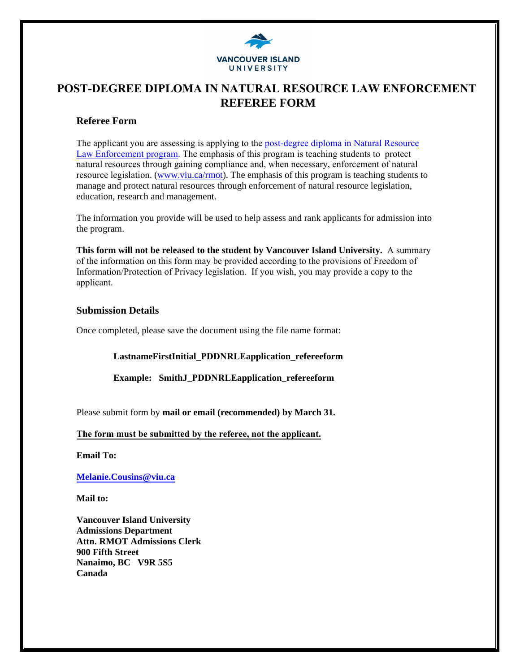

# **POST-DEGREE DIPLOMA IN NATURAL RESOURCE LAW ENFORCEMENT REFEREE FORM**

#### **Referee Form**

[The applicant you are assessing is applying to the post-degree diploma in Natural Resource](The applicant you are assessing is applying to the post-degree diploma in Natural Resource Law Enforcement program. The emphasis of this program is teaching students to  protect natural resources through gaining compliance and, when necessary, enforcement of natural resource legislation.)  Law Enforcement program. The emphasis of this program is teaching students to protect natural resources through gaining compliance and, when necessary, enforcement of natural resource legislation. [\(www.viu.ca/rmot\)](http://www.viu.ca/rmot). The emphasis of this program is teaching students to manage and protect natural resources through enforcement of natural resource legislation, education, research and management.

The information you provide will be used to help assess and rank applicants for admission into the program.

**This form will not be released to the student by Vancouver Island University.** A summary of the information on this form may be provided according to the provisions of Freedom of Information/Protection of Privacy legislation. If you wish, you may provide a copy to the applicant.

#### **Submission Details**

Once completed, please save the document using the file name format:

**LastnameFirstInitial\_PDDNRLEapplication\_refereeform** 

**Example: SmithJ\_PDDNRLEapplication\_refereeform** 

Please submit form by **mail or email (recommended) by March 31.**

#### **The form must be submitted by the referee, not the applicant.**

**[Email To:](mailto:Melanie.Cousins@viu.ca)** 

**Melanie.Cousins@viu.ca**

**Mail to:** 

**Vancouver Island University Admissions Department Attn. RMOT Admissions Clerk 900 Fifth Street Nanaimo, BC V9R 5S5 Canada**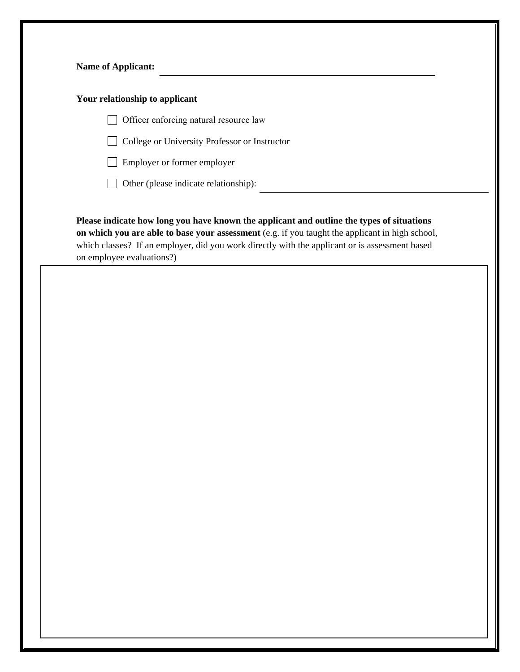| Your relationship to applicant |                                                                                                                                                                                                                                                                                                |
|--------------------------------|------------------------------------------------------------------------------------------------------------------------------------------------------------------------------------------------------------------------------------------------------------------------------------------------|
|                                | Officer enforcing natural resource law                                                                                                                                                                                                                                                         |
|                                | College or University Professor or Instructor                                                                                                                                                                                                                                                  |
|                                | Employer or former employer                                                                                                                                                                                                                                                                    |
|                                | Other (please indicate relationship):                                                                                                                                                                                                                                                          |
| on employee evaluations?)      | Please indicate how long you have known the applicant and outline the types of situations<br>on which you are able to base your assessment (e.g. if you taught the applicant in high school,<br>which classes? If an employer, did you work directly with the applicant or is assessment based |
|                                |                                                                                                                                                                                                                                                                                                |
|                                |                                                                                                                                                                                                                                                                                                |
|                                |                                                                                                                                                                                                                                                                                                |
|                                |                                                                                                                                                                                                                                                                                                |
|                                |                                                                                                                                                                                                                                                                                                |
|                                |                                                                                                                                                                                                                                                                                                |
|                                |                                                                                                                                                                                                                                                                                                |
|                                |                                                                                                                                                                                                                                                                                                |
|                                |                                                                                                                                                                                                                                                                                                |
|                                |                                                                                                                                                                                                                                                                                                |
|                                |                                                                                                                                                                                                                                                                                                |
|                                |                                                                                                                                                                                                                                                                                                |
|                                |                                                                                                                                                                                                                                                                                                |
|                                |                                                                                                                                                                                                                                                                                                |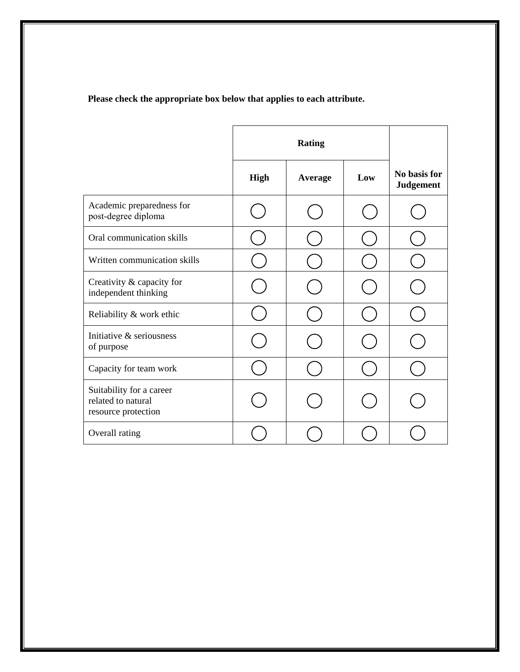## **Please check the appropriate box below that applies to each attribute.**

|                                                                       | <b>Rating</b> |                |     |                                  |
|-----------------------------------------------------------------------|---------------|----------------|-----|----------------------------------|
|                                                                       | <b>High</b>   | <b>Average</b> | Low | No basis for<br><b>Judgement</b> |
| Academic preparedness for<br>post-degree diploma                      |               |                |     |                                  |
| Oral communication skills                                             |               |                |     |                                  |
| Written communication skills                                          |               |                |     |                                  |
| Creativity & capacity for<br>independent thinking                     |               |                |     |                                  |
| Reliability & work ethic                                              |               |                |     |                                  |
| Initiative & seriousness<br>of purpose                                |               |                |     |                                  |
| Capacity for team work                                                |               |                |     |                                  |
| Suitability for a career<br>related to natural<br>resource protection |               |                |     |                                  |
| Overall rating                                                        |               |                |     |                                  |